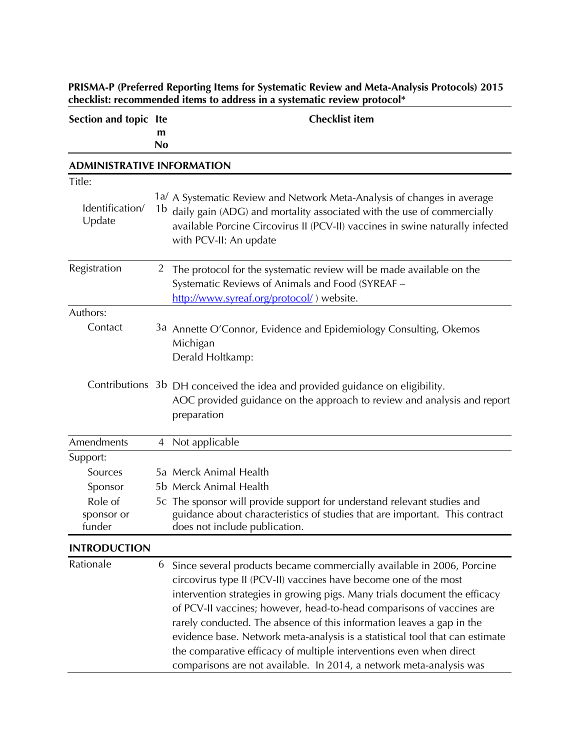| Section and topic Ite             | m              | <b>Checklist item</b>                                                                                                                                                                                                                                                                                                                                                                                                                                                                                                                                                                                   |
|-----------------------------------|----------------|---------------------------------------------------------------------------------------------------------------------------------------------------------------------------------------------------------------------------------------------------------------------------------------------------------------------------------------------------------------------------------------------------------------------------------------------------------------------------------------------------------------------------------------------------------------------------------------------------------|
|                                   | <b>No</b>      |                                                                                                                                                                                                                                                                                                                                                                                                                                                                                                                                                                                                         |
| <b>ADMINISTRATIVE INFORMATION</b> |                |                                                                                                                                                                                                                                                                                                                                                                                                                                                                                                                                                                                                         |
| Title:                            |                |                                                                                                                                                                                                                                                                                                                                                                                                                                                                                                                                                                                                         |
| Identification/<br>Update         | 1b             | 1a/ A Systematic Review and Network Meta-Analysis of changes in average<br>daily gain (ADG) and mortality associated with the use of commercially<br>available Porcine Circovirus II (PCV-II) vaccines in swine naturally infected<br>with PCV-II: An update                                                                                                                                                                                                                                                                                                                                            |
| Registration                      | $\overline{2}$ | The protocol for the systematic review will be made available on the<br>Systematic Reviews of Animals and Food (SYREAF -<br>http://www.syreaf.org/protocol/) website.                                                                                                                                                                                                                                                                                                                                                                                                                                   |
| Authors:                          |                |                                                                                                                                                                                                                                                                                                                                                                                                                                                                                                                                                                                                         |
| Contact                           |                | 3a Annette O'Connor, Evidence and Epidemiology Consulting, Okemos<br>Michigan<br>Derald Holtkamp:                                                                                                                                                                                                                                                                                                                                                                                                                                                                                                       |
|                                   |                | Contributions 3b DH conceived the idea and provided guidance on eligibility.<br>AOC provided guidance on the approach to review and analysis and report<br>preparation                                                                                                                                                                                                                                                                                                                                                                                                                                  |
| Amendments                        | 4              | Not applicable                                                                                                                                                                                                                                                                                                                                                                                                                                                                                                                                                                                          |
| Support:                          |                |                                                                                                                                                                                                                                                                                                                                                                                                                                                                                                                                                                                                         |
| Sources                           |                | 5a Merck Animal Health                                                                                                                                                                                                                                                                                                                                                                                                                                                                                                                                                                                  |
| Sponsor                           |                | 5b Merck Animal Health                                                                                                                                                                                                                                                                                                                                                                                                                                                                                                                                                                                  |
| Role of                           |                | 5c The sponsor will provide support for understand relevant studies and                                                                                                                                                                                                                                                                                                                                                                                                                                                                                                                                 |
| sponsor or<br>funder              |                | guidance about characteristics of studies that are important. This contract<br>does not include publication.                                                                                                                                                                                                                                                                                                                                                                                                                                                                                            |
| <b>INTRODUCTION</b>               |                |                                                                                                                                                                                                                                                                                                                                                                                                                                                                                                                                                                                                         |
| Rationale                         | 6              | Since several products became commercially available in 2006, Porcine<br>circovirus type II (PCV-II) vaccines have become one of the most<br>intervention strategies in growing pigs. Many trials document the efficacy<br>of PCV-II vaccines; however, head-to-head comparisons of vaccines are<br>rarely conducted. The absence of this information leaves a gap in the<br>evidence base. Network meta-analysis is a statistical tool that can estimate<br>the comparative efficacy of multiple interventions even when direct<br>comparisons are not available. In 2014, a network meta-analysis was |

**PRISMA-P (Preferred Reporting Items for Systematic Review and Meta-Analysis Protocols) 2015 checklist: recommended items to address in a systematic review protocol\***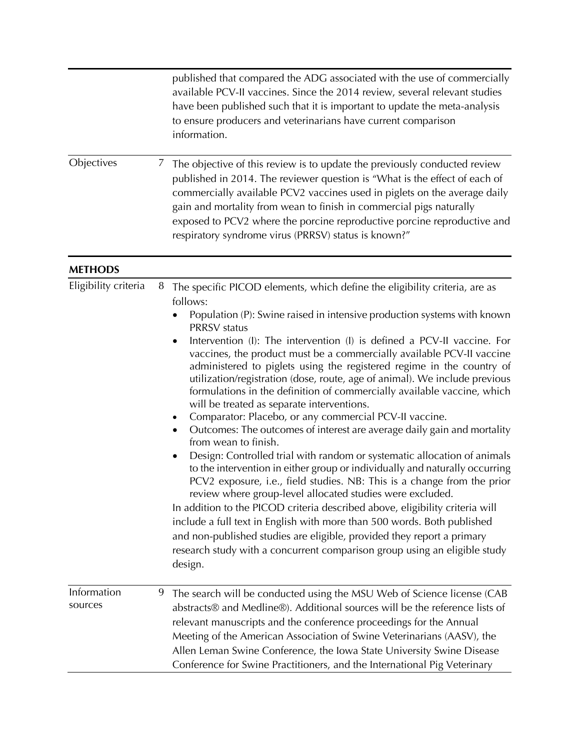|                        |   | published that compared the ADG associated with the use of commercially<br>available PCV-II vaccines. Since the 2014 review, several relevant studies<br>have been published such that it is important to update the meta-analysis<br>to ensure producers and veterinarians have current comparison<br>information.                                                                                                                                                                                                                                                                                                                                                                                                                                                                                                                                                                                                                                                                                                                                                                                                                                                                                                                                                                                                                                                                                                                 |
|------------------------|---|-------------------------------------------------------------------------------------------------------------------------------------------------------------------------------------------------------------------------------------------------------------------------------------------------------------------------------------------------------------------------------------------------------------------------------------------------------------------------------------------------------------------------------------------------------------------------------------------------------------------------------------------------------------------------------------------------------------------------------------------------------------------------------------------------------------------------------------------------------------------------------------------------------------------------------------------------------------------------------------------------------------------------------------------------------------------------------------------------------------------------------------------------------------------------------------------------------------------------------------------------------------------------------------------------------------------------------------------------------------------------------------------------------------------------------------|
| Objectives             | Ζ | The objective of this review is to update the previously conducted review<br>published in 2014. The reviewer question is "What is the effect of each of<br>commercially available PCV2 vaccines used in piglets on the average daily<br>gain and mortality from wean to finish in commercial pigs naturally<br>exposed to PCV2 where the porcine reproductive porcine reproductive and<br>respiratory syndrome virus (PRRSV) status is known?"                                                                                                                                                                                                                                                                                                                                                                                                                                                                                                                                                                                                                                                                                                                                                                                                                                                                                                                                                                                      |
| <b>METHODS</b>         |   |                                                                                                                                                                                                                                                                                                                                                                                                                                                                                                                                                                                                                                                                                                                                                                                                                                                                                                                                                                                                                                                                                                                                                                                                                                                                                                                                                                                                                                     |
| Eligibility criteria   | 8 | The specific PICOD elements, which define the eligibility criteria, are as<br>follows:<br>Population (P): Swine raised in intensive production systems with known<br><b>PRRSV</b> status<br>Intervention (I): The intervention (I) is defined a PCV-II vaccine. For<br>vaccines, the product must be a commercially available PCV-II vaccine<br>administered to piglets using the registered regime in the country of<br>utilization/registration (dose, route, age of animal). We include previous<br>formulations in the definition of commercially available vaccine, which<br>will be treated as separate interventions.<br>Comparator: Placebo, or any commercial PCV-II vaccine.<br>٠<br>Outcomes: The outcomes of interest are average daily gain and mortality<br>٠<br>from wean to finish.<br>Design: Controlled trial with random or systematic allocation of animals<br>to the intervention in either group or individually and naturally occurring<br>PCV2 exposure, i.e., field studies. NB: This is a change from the prior<br>review where group-level allocated studies were excluded.<br>In addition to the PICOD criteria described above, eligibility criteria will<br>include a full text in English with more than 500 words. Both published<br>and non-published studies are eligible, provided they report a primary<br>research study with a concurrent comparison group using an eligible study<br>design. |
| Information<br>sources | 9 | The search will be conducted using the MSU Web of Science license (CAB<br>abstracts® and Medline®). Additional sources will be the reference lists of<br>relevant manuscripts and the conference proceedings for the Annual<br>Meeting of the American Association of Swine Veterinarians (AASV), the<br>Allen Leman Swine Conference, the Iowa State University Swine Disease<br>Conference for Swine Practitioners, and the International Pig Veterinary                                                                                                                                                                                                                                                                                                                                                                                                                                                                                                                                                                                                                                                                                                                                                                                                                                                                                                                                                                          |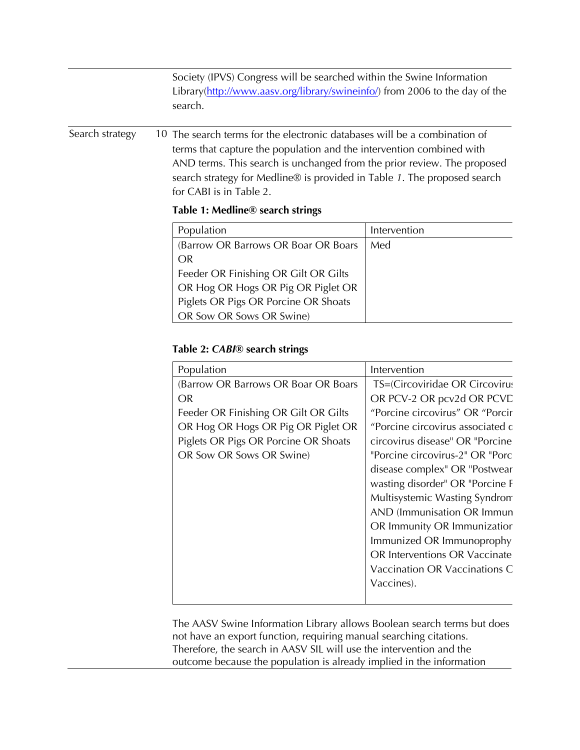|                 | Society (IPVS) Congress will be searched within the Swine Information<br>Library(http://www.aasv.org/library/swineinfo/) from 2006 to the day of the<br>search.                              |                                                                                                                                                                                                                                                                                                          |  |  |
|-----------------|----------------------------------------------------------------------------------------------------------------------------------------------------------------------------------------------|----------------------------------------------------------------------------------------------------------------------------------------------------------------------------------------------------------------------------------------------------------------------------------------------------------|--|--|
| Search strategy | for CABI is in Table 2.<br>Table 1: Medline <sup>®</sup> search strings                                                                                                                      | 10 The search terms for the electronic databases will be a combination of<br>terms that capture the population and the intervention combined with<br>AND terms. This search is unchanged from the prior review. The proposed<br>search strategy for Medline® is provided in Table 1. The proposed search |  |  |
|                 | Population                                                                                                                                                                                   | Intervention                                                                                                                                                                                                                                                                                             |  |  |
|                 | (Barrow OR Barrows OR Boar OR Boars<br>OR.<br>Feeder OR Finishing OR Gilt OR Gilts<br>OR Hog OR Hogs OR Pig OR Piglet OR<br>Piglets OR Pigs OR Porcine OR Shoats<br>OR Sow OR Sows OR Swine) | Med                                                                                                                                                                                                                                                                                                      |  |  |

## **Table 2:** *CABI***® search strings**

| Population                           | Intervention                     |
|--------------------------------------|----------------------------------|
| (Barrow OR Barrows OR Boar OR Boars  | TS=(Circoviridae OR Circovirus   |
| OR.                                  | OR PCV-2 OR pcv2d OR PCVC        |
| Feeder OR Finishing OR Gilt OR Gilts | "Porcine circovirus" OR "Porcir  |
| OR Hog OR Hogs OR Pig OR Piglet OR   | "Porcine circovirus associated c |
| Piglets OR Pigs OR Porcine OR Shoats | circovirus disease" OR "Porcine  |
| OR Sow OR Sows OR Swine)             | "Porcine circovirus-2" OR "Porc  |
|                                      | disease complex" OR "Postwear    |
|                                      | wasting disorder" OR "Porcine F  |
|                                      | Multisystemic Wasting Syndrom    |
|                                      | AND (Immunisation OR Immun       |
|                                      | OR Immunity OR Immunizatior      |
|                                      | Immunized OR Immunoprophy        |
|                                      | OR Interventions OR Vaccinate    |
|                                      | Vaccination OR Vaccinations C    |
|                                      | Vaccines).                       |
|                                      |                                  |

The AASV Swine Information Library allows Boolean search terms but does not have an export function, requiring manual searching citations. Therefore, the search in AASV SIL will use the intervention and the outcome because the population is already implied in the information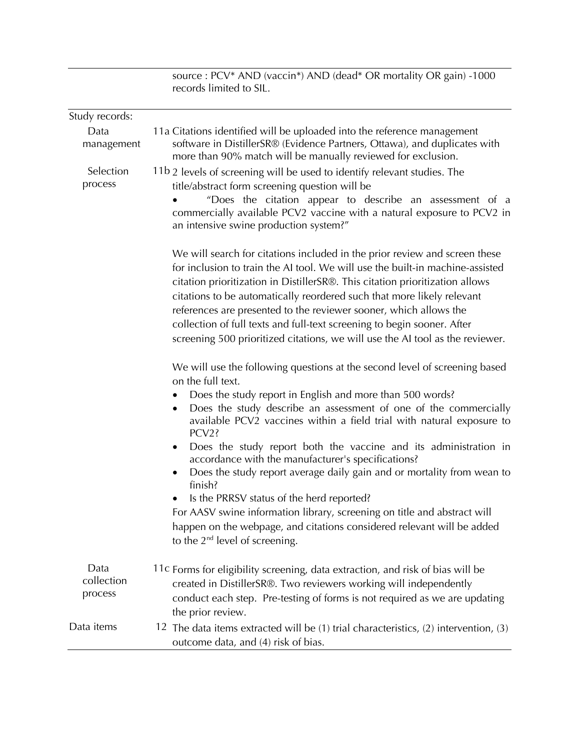|                               | source: PCV* AND (vaccin*) AND (dead* OR mortality OR gain) -1000<br>records limited to SIL.                                                                                                                                                                                                                                                                                                                                                                                                                                                                                                                                                                                                                                                                                          |
|-------------------------------|---------------------------------------------------------------------------------------------------------------------------------------------------------------------------------------------------------------------------------------------------------------------------------------------------------------------------------------------------------------------------------------------------------------------------------------------------------------------------------------------------------------------------------------------------------------------------------------------------------------------------------------------------------------------------------------------------------------------------------------------------------------------------------------|
| Study records:                |                                                                                                                                                                                                                                                                                                                                                                                                                                                                                                                                                                                                                                                                                                                                                                                       |
| Data<br>management            | 11a Citations identified will be uploaded into the reference management<br>software in DistillerSR® (Evidence Partners, Ottawa), and duplicates with<br>more than 90% match will be manually reviewed for exclusion.                                                                                                                                                                                                                                                                                                                                                                                                                                                                                                                                                                  |
| Selection<br>process          | 11b 2 levels of screening will be used to identify relevant studies. The<br>title/abstract form screening question will be<br>"Does the citation appear to describe an assessment of a<br>commercially available PCV2 vaccine with a natural exposure to PCV2 in<br>an intensive swine production system?"                                                                                                                                                                                                                                                                                                                                                                                                                                                                            |
|                               | We will search for citations included in the prior review and screen these<br>for inclusion to train the AI tool. We will use the built-in machine-assisted<br>citation prioritization in DistillerSR®. This citation prioritization allows<br>citations to be automatically reordered such that more likely relevant<br>references are presented to the reviewer sooner, which allows the<br>collection of full texts and full-text screening to begin sooner. After<br>screening 500 prioritized citations, we will use the AI tool as the reviewer.                                                                                                                                                                                                                                |
|                               | We will use the following questions at the second level of screening based<br>on the full text.<br>Does the study report in English and more than 500 words?<br>Does the study describe an assessment of one of the commercially<br>available PCV2 vaccines within a field trial with natural exposure to<br>PCV2?<br>Does the study report both the vaccine and its administration in<br>٠<br>accordance with the manufacturer's specifications?<br>Does the study report average daily gain and or mortality from wean to<br>٠<br>finish?<br>Is the PRRSV status of the herd reported?<br>For AASV swine information library, screening on title and abstract will<br>happen on the webpage, and citations considered relevant will be added<br>to the $2^{nd}$ level of screening. |
| Data<br>collection<br>process | 11c Forms for eligibility screening, data extraction, and risk of bias will be<br>created in DistillerSR®. Two reviewers working will independently<br>conduct each step. Pre-testing of forms is not required as we are updating<br>the prior review.                                                                                                                                                                                                                                                                                                                                                                                                                                                                                                                                |
| Data items                    | 12 The data items extracted will be (1) trial characteristics, (2) intervention, (3)<br>outcome data, and (4) risk of bias.                                                                                                                                                                                                                                                                                                                                                                                                                                                                                                                                                                                                                                                           |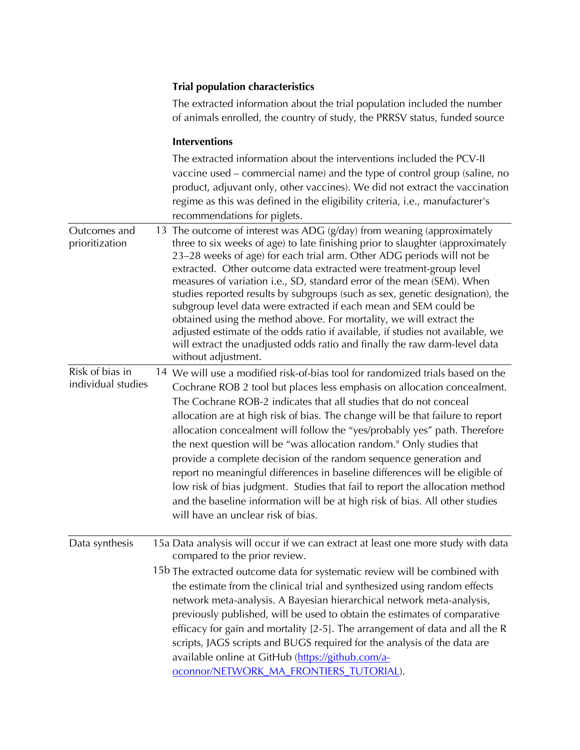## **Trial population characteristics**

The extracted information about the trial population included the number of animals enrolled, the country of study, the PRRSV status, funded source

## **Interventions**

|                                       | The extracted information about the interventions included the PCV-II<br>vaccine used - commercial name) and the type of control group (saline, no<br>product, adjuvant only, other vaccines). We did not extract the vaccination<br>regime as this was defined in the eligibility criteria, i.e., manufacturer's<br>recommendations for piglets.                                                                                                                                                                                                                                                                                                                                                                                                                                                                                |
|---------------------------------------|----------------------------------------------------------------------------------------------------------------------------------------------------------------------------------------------------------------------------------------------------------------------------------------------------------------------------------------------------------------------------------------------------------------------------------------------------------------------------------------------------------------------------------------------------------------------------------------------------------------------------------------------------------------------------------------------------------------------------------------------------------------------------------------------------------------------------------|
| Outcomes and<br>prioritization        | 13 The outcome of interest was ADG (g/day) from weaning (approximately<br>three to six weeks of age) to late finishing prior to slaughter (approximately<br>23-28 weeks of age) for each trial arm. Other ADG periods will not be<br>extracted. Other outcome data extracted were treatment-group level<br>measures of variation i.e., SD, standard error of the mean (SEM). When<br>studies reported results by subgroups (such as sex, genetic designation), the<br>subgroup level data were extracted if each mean and SEM could be<br>obtained using the method above. For mortality, we will extract the<br>adjusted estimate of the odds ratio if available, if studies not available, we<br>will extract the unadjusted odds ratio and finally the raw darm-level data<br>without adjustment.                             |
| Risk of bias in<br>individual studies | 14 We will use a modified risk-of-bias tool for randomized trials based on the<br>Cochrane ROB 2 tool but places less emphasis on allocation concealment.<br>The Cochrane ROB-2 indicates that all studies that do not conceal<br>allocation are at high risk of bias. The change will be that failure to report<br>allocation concealment will follow the "yes/probably yes" path. Therefore<br>the next question will be "was allocation random." Only studies that<br>provide a complete decision of the random sequence generation and<br>report no meaningful differences in baseline differences will be eligible of<br>low risk of bias judgment. Studies that fail to report the allocation method<br>and the baseline information will be at high risk of bias. All other studies<br>will have an unclear risk of bias. |
| Data synthesis                        | 15a Data analysis will occur if we can extract at least one more study with data<br>compared to the prior review.<br>15b The extracted outcome data for systematic review will be combined with<br>the estimate from the clinical trial and synthesized using random effects<br>network meta-analysis. A Bayesian hierarchical network meta-analysis,<br>previously published, will be used to obtain the estimates of comparative<br>efficacy for gain and mortality [2-5]. The arrangement of data and all the R<br>scripts, JAGS scripts and BUGS required for the analysis of the data are<br>available online at GitHub (https://github.com/a-<br>oconnor/NETWORK_MA_FRONTIERS_TUTORIAL).                                                                                                                                   |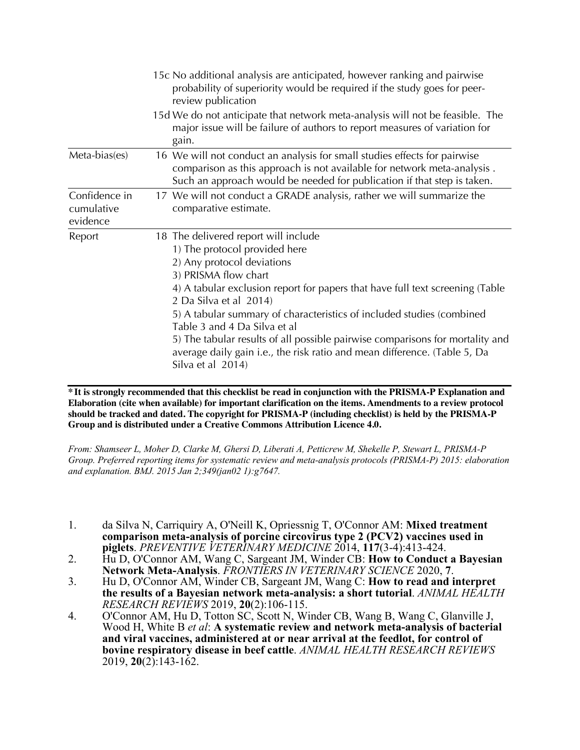|                                         | 15c No additional analysis are anticipated, however ranking and pairwise<br>probability of superiority would be required if the study goes for peer-<br>review publication                                                                                                                                                                                                                                                                                                                                                         |
|-----------------------------------------|------------------------------------------------------------------------------------------------------------------------------------------------------------------------------------------------------------------------------------------------------------------------------------------------------------------------------------------------------------------------------------------------------------------------------------------------------------------------------------------------------------------------------------|
|                                         | 15d We do not anticipate that network meta-analysis will not be feasible. The<br>major issue will be failure of authors to report measures of variation for<br>gain.                                                                                                                                                                                                                                                                                                                                                               |
| Meta-bias(es)                           | 16 We will not conduct an analysis for small studies effects for pairwise<br>comparison as this approach is not available for network meta-analysis.<br>Such an approach would be needed for publication if that step is taken.                                                                                                                                                                                                                                                                                                    |
| Confidence in<br>cumulative<br>evidence | 17 We will not conduct a GRADE analysis, rather we will summarize the<br>comparative estimate.                                                                                                                                                                                                                                                                                                                                                                                                                                     |
| Report                                  | 18 The delivered report will include<br>1) The protocol provided here<br>2) Any protocol deviations<br>3) PRISMA flow chart<br>4) A tabular exclusion report for papers that have full text screening (Table<br>2 Da Silva et al 2014)<br>5) A tabular summary of characteristics of included studies (combined<br>Table 3 and 4 Da Silva et al<br>5) The tabular results of all possible pairwise comparisons for mortality and<br>average daily gain i.e., the risk ratio and mean difference. (Table 5, Da<br>Silva et al 2014) |

**\* It is strongly recommended that this checklist be read in conjunction with the PRISMA-P Explanation and Elaboration (cite when available) for important clarification on the items. Amendments to a review protocol should be tracked and dated. The copyright for PRISMA-P (including checklist) is held by the PRISMA-P Group and is distributed under a Creative Commons Attribution Licence 4.0.** 

*From: Shamseer L, Moher D, Clarke M, Ghersi D, Liberati A, Petticrew M, Shekelle P, Stewart L, PRISMA-P Group. Preferred reporting items for systematic review and meta-analysis protocols (PRISMA-P) 2015: elaboration and explanation. BMJ. 2015 Jan 2;349(jan02 1):g7647.*

- 1. da Silva N, Carriquiry A, O'Neill K, Opriessnig T, O'Connor AM: **Mixed treatment comparison meta-analysis of porcine circovirus type 2 (PCV2) vaccines used in piglets**. *PREVENTIVE VETERINARY MEDICINE* 2014, **117**(3-4):413-424.
- 2. Hu D, O'Connor AM, Wang C, Sargeant JM, Winder CB: **How to Conduct a Bayesian Network Meta-Analysis**. *FRONTIERS IN VETERINARY SCIENCE* 2020, **7**.
- 3. Hu D, O'Connor AM, Winder CB, Sargeant JM, Wang C: **How to read and interpret the results of a Bayesian network meta-analysis: a short tutorial**. *ANIMAL HEALTH RESEARCH REVIEWS* 2019, **20**(2):106-115.
- 4. O'Connor AM, Hu D, Totton SC, Scott N, Winder CB, Wang B, Wang C, Glanville J, Wood H, White B *et al*: **A systematic review and network meta-analysis of bacterial and viral vaccines, administered at or near arrival at the feedlot, for control of bovine respiratory disease in beef cattle**. *ANIMAL HEALTH RESEARCH REVIEWS*  2019, **20**(2):143-162.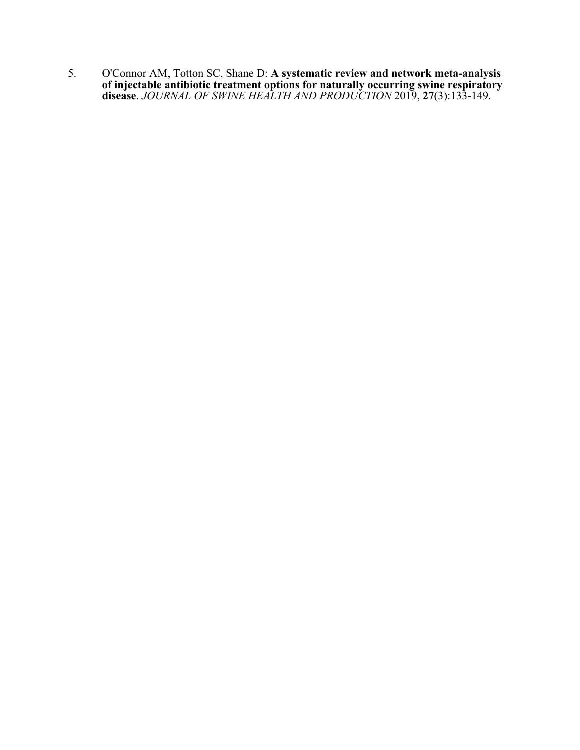5. O'Connor AM, Totton SC, Shane D: **A systematic review and network meta-analysis of injectable antibiotic treatment options for naturally occurring swine respiratory disease**. *JOURNAL OF SWINE HEALTH AND PRODUCTION* 2019, **27**(3):133-149.